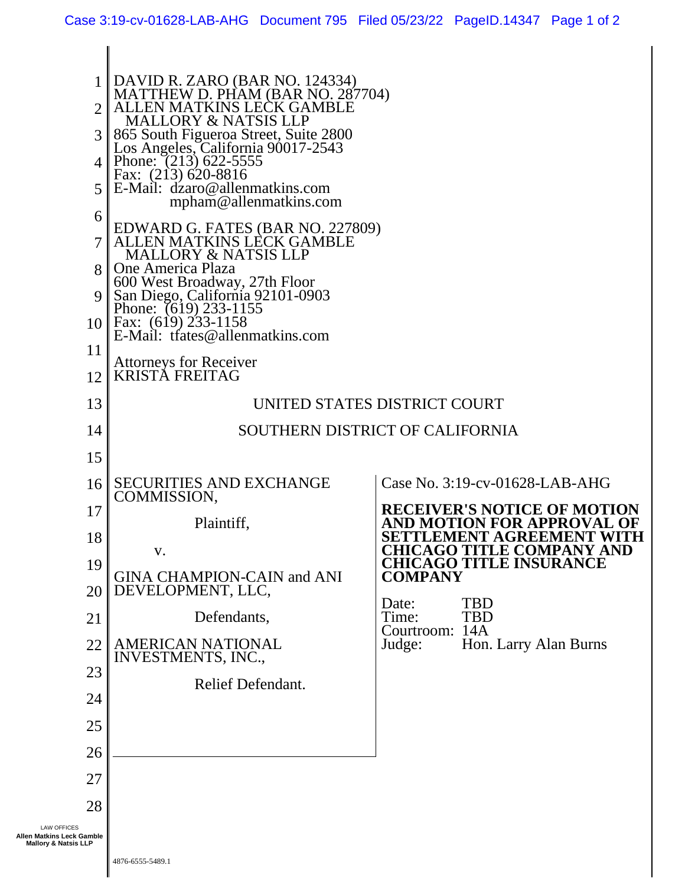| $\overline{2}$<br>3<br>4<br>5<br>6                                                 | DAVID R. ZARO (BAR NO. 124334)<br>MATTHEW D. PHAM (BAR NO. 287704)<br>EN MATKINS LECK GAMBLE<br><b>MALLORY &amp; NATSIS LLP</b><br>865 South Figueroa Street, Suite 2800<br>Los Angeles, California 90017-2543<br>Phone: $(213)$ 622-5555<br>Fax: (213) 620-8816<br>$\mathbb{E}$ -Mail: dzaro@allenmatkins.com<br>mpham@allenmatkins.com<br>EDWARD G. FATES (BAR NO. 227809)<br><b>ALLEN MATKINS LECK GAMBLE</b> |                                                                    |
|------------------------------------------------------------------------------------|------------------------------------------------------------------------------------------------------------------------------------------------------------------------------------------------------------------------------------------------------------------------------------------------------------------------------------------------------------------------------------------------------------------|--------------------------------------------------------------------|
| 7<br>8<br>$\mathbf Q$<br>11                                                        | <b>MALLORY &amp; NATSIS LLP</b><br>One America Plaza<br>600 West Broadway, 27th Floor<br>San Diego, California 92101-0903<br>Phone: (619) 233-1155<br>10   Fax: (619) 233-1158<br>E-Mail: trates@allenmatkins.com                                                                                                                                                                                                |                                                                    |
| 12                                                                                 | <b>Attorneys for Receiver</b><br><b>KRISTĂ FREITAG</b>                                                                                                                                                                                                                                                                                                                                                           |                                                                    |
| 13                                                                                 | UNITED STATES DISTRICT COURT                                                                                                                                                                                                                                                                                                                                                                                     |                                                                    |
| 14                                                                                 | SOUTHERN DISTRICT OF CALIFORNIA                                                                                                                                                                                                                                                                                                                                                                                  |                                                                    |
| 15                                                                                 |                                                                                                                                                                                                                                                                                                                                                                                                                  |                                                                    |
| 16                                                                                 | <b>SECURITIES AND EXCHANGE</b>                                                                                                                                                                                                                                                                                                                                                                                   | Case No. 3:19-cv-01628-LAB-AHG                                     |
| 17                                                                                 | COMMISSION,                                                                                                                                                                                                                                                                                                                                                                                                      | <b>RECEIVER'S NOTICE OF MOTION</b>                                 |
| 18                                                                                 | Plaintiff,                                                                                                                                                                                                                                                                                                                                                                                                       | <b>FOR APPRO</b><br>SETTLEMENT AGREEMENT WITH                      |
| 19                                                                                 | V.                                                                                                                                                                                                                                                                                                                                                                                                               | <b>CHICAGO TITLE COMPANY AND</b><br><b>CHICAGO TITLE INSURANCE</b> |
| 20                                                                                 | <b>GINA CHAMPION-CAIN and ANI</b><br>DEVELOPMENT, LLC,                                                                                                                                                                                                                                                                                                                                                           | <b>COMPANY</b>                                                     |
| 21                                                                                 | Defendants,                                                                                                                                                                                                                                                                                                                                                                                                      | <b>TBD</b><br>Date:<br><b>TBD</b><br>Time:                         |
| 22                                                                                 | <b>AMERICAN NATIONAL</b>                                                                                                                                                                                                                                                                                                                                                                                         | 14A<br>Courtroom:<br>Hon. Larry Alan Burns<br>Judge:               |
| 23                                                                                 | INVESTMENTS, INC.,                                                                                                                                                                                                                                                                                                                                                                                               |                                                                    |
| 24                                                                                 | Relief Defendant.                                                                                                                                                                                                                                                                                                                                                                                                |                                                                    |
| 25                                                                                 |                                                                                                                                                                                                                                                                                                                                                                                                                  |                                                                    |
| 26                                                                                 |                                                                                                                                                                                                                                                                                                                                                                                                                  |                                                                    |
| 27                                                                                 |                                                                                                                                                                                                                                                                                                                                                                                                                  |                                                                    |
| 28                                                                                 |                                                                                                                                                                                                                                                                                                                                                                                                                  |                                                                    |
| <b>LAW OFFICES</b><br>Allen Matkins Leck Gamble<br><b>Mallory &amp; Natsis LLP</b> |                                                                                                                                                                                                                                                                                                                                                                                                                  |                                                                    |